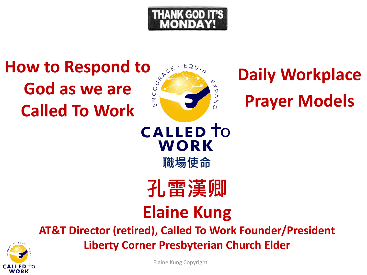

### **How to Respond to Area Served Served Article God as we are Called To Work**



### **Daily Workplace Prayer Models**

**CALLED** TO WORK **職場使命**

**孔雷漢卿 Elaine Kung**

**AT&T Director (retired), Called To Work Founder/President**

**Liberty Corner Presbyterian Church Elder**



Elaine Kung Copyright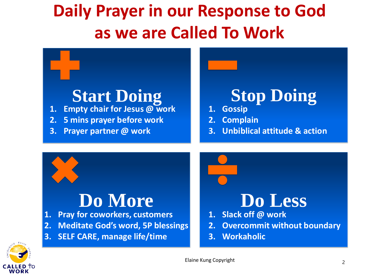### **Daily Prayer in our Response to God as we are Called To Work**

## **Start Doing Stop Doing**

- **1. Empty chair for Jesus @ work**
- **2. 5 mins prayer before work**
- **3. Prayer partner @ work**

- **1. Gossip**
- **2. Complain**
- **3. Unbiblical attitude & action**

- **1. Pray for coworkers, customers**
- **2. Meditate God's word, 5P blessings**
- **3. SELF CARE, manage life/time**



- **2. Overcommit without boundary**
- **3. Workaholic**



Elaine Kung Copyright 2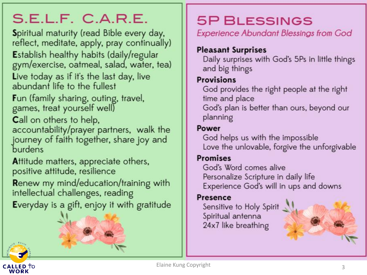### S.E.L.F. C.A.R.E.

Spiritual maturity (read Bible every day, reflect, meditate, apply, pray continually) Establish healthy habits (daily/regular gym/exercise, oatmeal, salad, water, tea) Live today as if it's the last day, live abundant life to the fullest

Fun (family sharing, outing, travel, games, treat yourself well)

Call on others to help,

accountability/prayer partners, walk the journey of faith together, share joy and burdens

Attitude matters, appreciate others, positive attitude, resilience

Renew my mind/education/training with intellectual challenges, reading

Everyday is a gift, enjoy it with gratitude

### **5P BLESSINGS**

**Experience Abundant Blessings from God** 

#### **Pleasant Surprises**

Daily surprises with God's 5Ps in little things and big things

#### **Provisions**

God provides the right people at the right time and place God's plan is better than ours, beyond our planning

#### Power

God helps us with the impossible Love the unlovable, forgive the unforgivable

#### **Promises**

God's Word comes alive Personalize Scripture in daily life Experience God's will in ups and downs

#### **Presence**

Sensitive to Holy Spirit Spiritual antenna 24x7 like breathing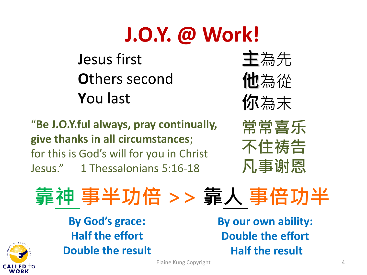## **J.O.Y. @ Work!**

**J**esus first **O**thers second **Y**ou last

"**Be J.O.Y.ful always, pray continually, give thanks in all circumstances**; for this is God's will for you in Christ Jesus." 1 Thessalonians 5:16-18

**主**為先 **他**為從 **你**為末



**靠神 事半功倍 >> 靠人 事倍功半**

**By God's grace: Half the effort Double the result**

WORK

**By our own ability: Double the effort Half the result**

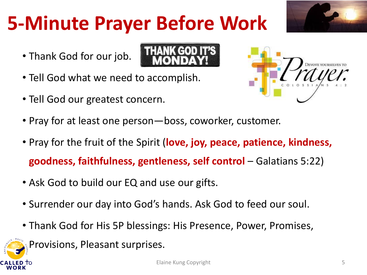### **5-Minute Prayer Before Work**

- Thank God for our job.
- Tell God what we need to accomplish.
- Tell God our greatest concern.
- Pray for at least one person—boss, coworker, customer.
- Pray for the fruit of the Spirit (**love, joy, peace, patience, kindness, goodness, faithfulness, gentleness, self control** – Galatians 5:22)
- Ask God to build our EQ and use our gifts.
- Surrender our day into God's hands. Ask God to feed our soul.
- Thank God for His 5P blessings: His Presence, Power, Promises,

Provisions, Pleasant surprises.